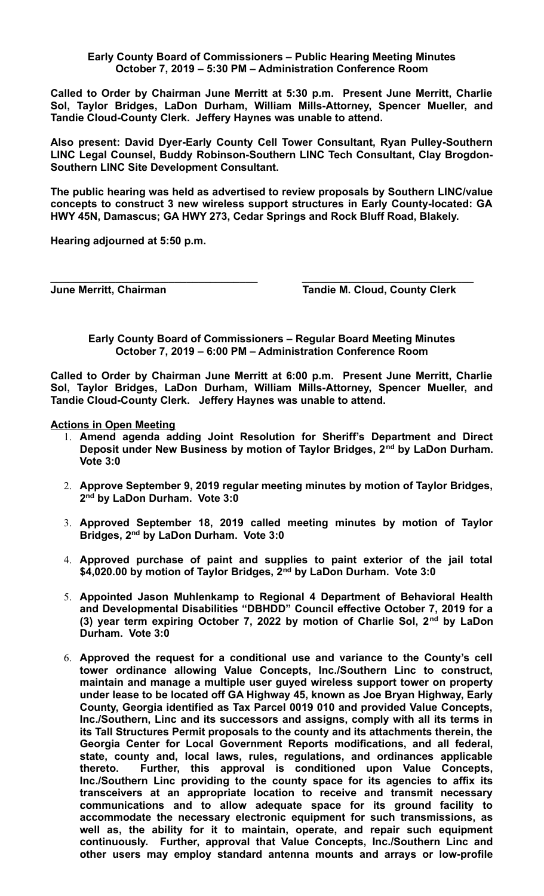**Early County Board of Commissioners – Public Hearing Meeting Minutes October 7, 2019 – 5:30 PM – Administration Conference Room**

**Called to Order by Chairman June Merritt at 5:30 p.m. Present June Merritt, Charlie Sol, Taylor Bridges, LaDon Durham, William Mills-Attorney, Spencer Mueller, and Tandie Cloud-County Clerk. Jeffery Haynes was unable to attend.**

**Also present: David Dyer-Early County Cell Tower Consultant, Ryan Pulley-Southern LINC Legal Counsel, Buddy Robinson-Southern LINC Tech Consultant, Clay Brogdon-Southern LINC Site Development Consultant.**

**The public hearing was held as advertised to review proposals by Southern LINC/value concepts to construct 3 new wireless support structures in Early County-located: GA HWY 45N, Damascus; GA HWY 273, Cedar Springs and Rock Bluff Road, Blakely.**

**Hearing adjourned at 5:50 p.m.**

**June Merritt, Chairman Community Clerk** Tandie M. Cloud, County Clerk

**Early County Board of Commissioners – Regular Board Meeting Minutes October 7, 2019 – 6:00 PM – Administration Conference Room**

**\_\_\_\_\_\_\_\_\_\_\_\_\_\_\_\_\_\_\_\_\_\_\_\_\_\_\_\_\_\_\_\_\_\_\_ \_\_\_\_\_\_\_\_\_\_\_\_\_\_\_\_\_\_\_\_\_\_\_\_\_\_\_\_\_**

**Called to Order by Chairman June Merritt at 6:00 p.m. Present June Merritt, Charlie Sol, Taylor Bridges, LaDon Durham, William Mills-Attorney, Spencer Mueller, and Tandie Cloud-County Clerk. Jeffery Haynes was unable to attend.**

**Actions in Open Meeting**

- 1. **Amend agenda adding Joint Resolution for Sheriff's Department and Direct Deposit under New Business by motion of Taylor Bridges, 2nd by LaDon Durham. Vote 3:0**
- 2. **Approve September 9, 2019 regular meeting minutes by motion of Taylor Bridges, 2 nd by LaDon Durham. Vote 3:0**
- 3. **Approved September 18, 2019 called meeting minutes by motion of Taylor Bridges, 2nd by LaDon Durham. Vote 3:0**
- 4. **Approved purchase of paint and supplies to paint exterior of the jail total \$4,020.00 by motion of Taylor Bridges, 2nd by LaDon Durham. Vote 3:0**
- 5. **Appointed Jason Muhlenkamp to Regional 4 Department of Behavioral Health and Developmental Disabilities "DBHDD" Council effective October 7, 2019 for a (3) year term expiring October 7, 2022 by motion of Charlie Sol, 2nd by LaDon Durham. Vote 3:0**
- 6. **Approved the request for a conditional use and variance to the County's cell tower ordinance allowing Value Concepts, Inc./Southern Linc to construct, maintain and manage a multiple user guyed wireless support tower on property under lease to be located off GA Highway 45, known as Joe Bryan Highway, Early County, Georgia identified as Tax Parcel 0019 010 and provided Value Concepts, Inc./Southern, Linc and its successors and assigns, comply with all its terms in its Tall Structures Permit proposals to the county and its attachments therein, the Georgia Center for Local Government Reports modifications, and all federal, state, county and, local laws, rules, regulations, and ordinances applicable thereto. Further, this approval is conditioned upon Value Concepts, Inc./Southern Linc providing to the county space for its agencies to affix its transceivers at an appropriate location to receive and transmit necessary communications and to allow adequate space for its ground facility to accommodate the necessary electronic equipment for such transmissions, as well as, the ability for it to maintain, operate, and repair such equipment continuously. Further, approval that Value Concepts, Inc./Southern Linc and other users may employ standard antenna mounts and arrays or low-profile**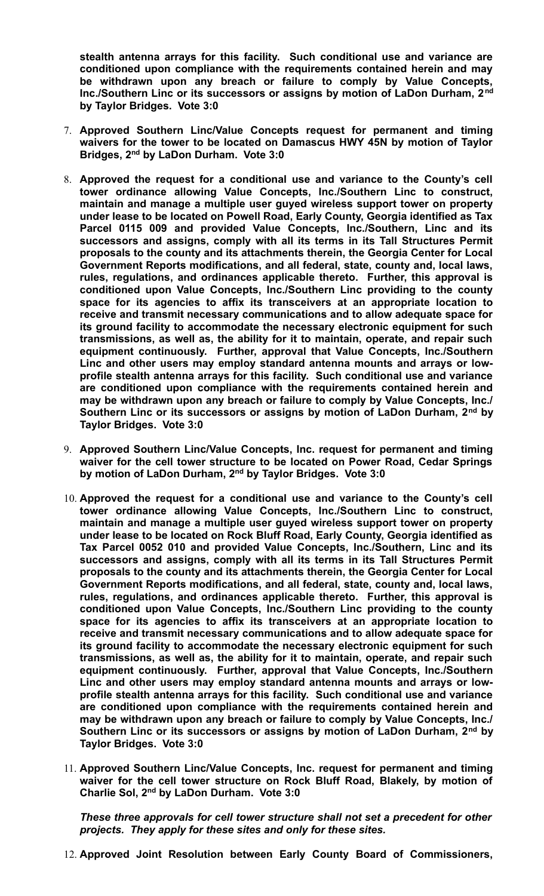**stealth antenna arrays for this facility. Such conditional use and variance are conditioned upon compliance with the requirements contained herein and may be withdrawn upon any breach or failure to comply by Value Concepts, Inc./Southern Linc or its successors or assigns by motion of LaDon Durham, 2nd by Taylor Bridges. Vote 3:0**

- 7. **Approved Southern Linc/Value Concepts request for permanent and timing waivers for the tower to be located on Damascus HWY 45N by motion of Taylor Bridges, 2nd by LaDon Durham. Vote 3:0**
- 8. **Approved the request for a conditional use and variance to the County's cell tower ordinance allowing Value Concepts, Inc./Southern Linc to construct, maintain and manage a multiple user guyed wireless support tower on property under lease to be located on Powell Road, Early County, Georgia identified as Tax Parcel 0115 009 and provided Value Concepts, Inc./Southern, Linc and its successors and assigns, comply with all its terms in its Tall Structures Permit proposals to the county and its attachments therein, the Georgia Center for Local Government Reports modifications, and all federal, state, county and, local laws, rules, regulations, and ordinances applicable thereto. Further, this approval is conditioned upon Value Concepts, Inc./Southern Linc providing to the county space for its agencies to affix its transceivers at an appropriate location to receive and transmit necessary communications and to allow adequate space for its ground facility to accommodate the necessary electronic equipment for such transmissions, as well as, the ability for it to maintain, operate, and repair such equipment continuously. Further, approval that Value Concepts, Inc./Southern Linc and other users may employ standard antenna mounts and arrays or lowprofile stealth antenna arrays for this facility. Such conditional use and variance are conditioned upon compliance with the requirements contained herein and may be withdrawn upon any breach or failure to comply by Value Concepts, Inc./ Southern Linc or its successors or assigns by motion of LaDon Durham, 2nd by Taylor Bridges. Vote 3:0**
- 9. **Approved Southern Linc/Value Concepts, Inc. request for permanent and timing waiver for the cell tower structure to be located on Power Road, Cedar Springs by motion of LaDon Durham, 2nd by Taylor Bridges. Vote 3:0**
- 10. **Approved the request for a conditional use and variance to the County's cell tower ordinance allowing Value Concepts, Inc./Southern Linc to construct, maintain and manage a multiple user guyed wireless support tower on property under lease to be located on Rock Bluff Road, Early County, Georgia identified as Tax Parcel 0052 010 and provided Value Concepts, Inc./Southern, Linc and its successors and assigns, comply with all its terms in its Tall Structures Permit proposals to the county and its attachments therein, the Georgia Center for Local Government Reports modifications, and all federal, state, county and, local laws, rules, regulations, and ordinances applicable thereto. Further, this approval is conditioned upon Value Concepts, Inc./Southern Linc providing to the county space for its agencies to affix its transceivers at an appropriate location to receive and transmit necessary communications and to allow adequate space for its ground facility to accommodate the necessary electronic equipment for such transmissions, as well as, the ability for it to maintain, operate, and repair such equipment continuously. Further, approval that Value Concepts, Inc./Southern Linc and other users may employ standard antenna mounts and arrays or lowprofile stealth antenna arrays for this facility. Such conditional use and variance are conditioned upon compliance with the requirements contained herein and may be withdrawn upon any breach or failure to comply by Value Concepts, Inc./ Southern Linc or its successors or assigns by motion of LaDon Durham, 2nd by Taylor Bridges. Vote 3:0**
- 11. **Approved Southern Linc/Value Concepts, Inc. request for permanent and timing waiver for the cell tower structure on Rock Bluff Road, Blakely, by motion of Charlie Sol, 2nd by LaDon Durham. Vote 3:0**

*These three approvals for cell tower structure shall not set a precedent for other projects. They apply for these sites and only for these sites.*

12. **Approved Joint Resolution between Early County Board of Commissioners,**